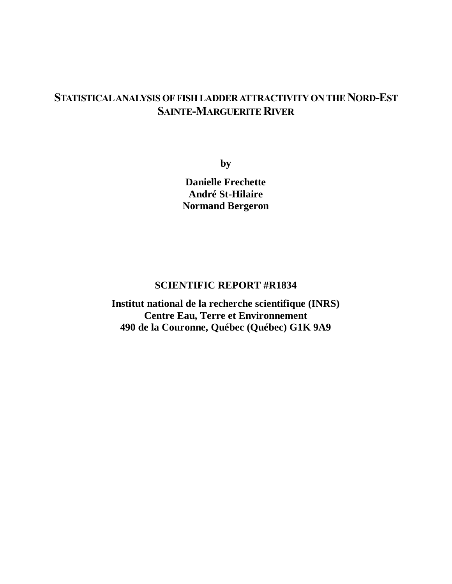# **STATISTICAL ANALYSIS OF FISH LADDER ATTRACTIVITY ON THE NORD-EST SAINTE-MARGUERITE RIVER**

**by**

**Danielle Frechette André St-Hilaire Normand Bergeron**

# **SCIENTIFIC REPORT #R1834**

**Institut national de la recherche scientifique (INRS) Centre Eau, Terre et Environnement 490 de la Couronne, Québec (Québec) G1K 9A9**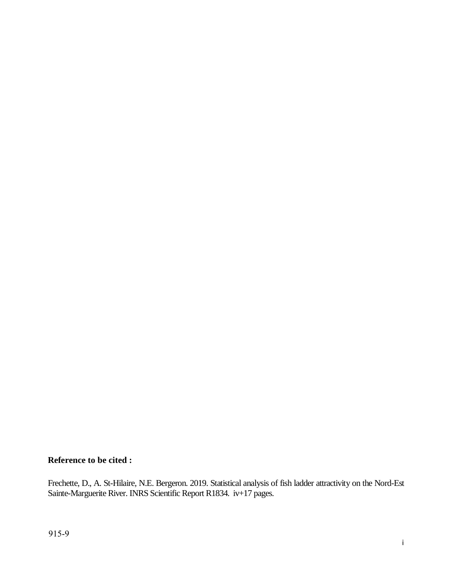## **Reference to be cited :**

Frechette, D., A. St-Hilaire, N.E. Bergeron. 2019. Statistical analysis of fish ladder attractivity on the Nord-Est Sainte-Marguerite River. INRS Scientific Report R1834. iv+17 pages.

i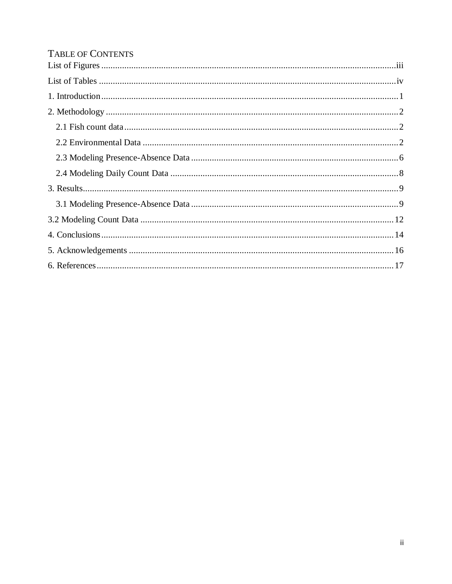# TABLE OF CONTENTS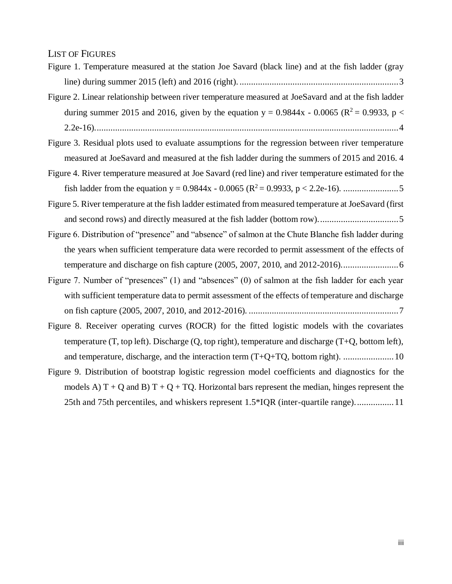#### <span id="page-3-0"></span>LIST OF FIGURES

|  |  | Figure 1. Temperature measured at the station Joe Savard (black line) and at the fish ladder (gray |  |  |  |  |  |  |
|--|--|----------------------------------------------------------------------------------------------------|--|--|--|--|--|--|
|  |  |                                                                                                    |  |  |  |  |  |  |
|  |  |                                                                                                    |  |  |  |  |  |  |

[Figure 2. Linear relationship between river temperature measured at JoeSavard and at the fish ladder](#page-8-0)  [during summer 2015 and 2016, given by the equation y = 0.9844x -](#page-8-0) 0.0065 ( $\mathbb{R}^2$  = 0.9933, p < [2.2e-16\)....................................................................................................................................4](#page-8-0)

[Figure 3. Residual plots used to evaluate assumptions for the regression between river temperature](#page-8-1)  [measured at JoeSavard and measured at the fish ladder during the summers of 2015 and 2016.](#page-8-1) 4

- [Figure 4. River temperature measured at Joe Savard \(red line\) and river temperature estimated for the](#page-9-0)  [fish ladder from the equation y = 0.9844x -](#page-9-0) 0.0065 (R<sup>2</sup>= 0.9933, p < 2.2e-16). ........................5
- [Figure 5. River temperature at the fish ladder estimated from measured temperature at JoeSavard \(first](#page-9-1)  [and second rows\) and directly measured at the fish ladder \(bottom row\)...................................5](#page-9-1)
- [Figure 6. Distribution of "presence" and "absence" of salmon at the Chute Blanche fish ladder during](#page-10-1)  [the years when sufficient temperature data were recorded to permit assessment of the effects of](#page-10-1)  [temperature and discharge on fish capture \(2005, 2007, 2010, and 2012-2016\).........................6](#page-10-1)
- Figure 7. Number of "presences" (1) and "absences" (0) of salmon at the fish ladder for each year with [sufficient temperature data to permit assessment of the effects of temperature and discharge](#page-11-0)  [on fish capture \(2005, 2007, 2010, and 2012-2016\).](#page-11-0) .................................................................7
- [Figure 8. Receiver operating curves \(ROCR\) for the fitted logistic models with the covariates](#page-14-0)  [temperature \(T, top left\). Discharge \(Q, top right\), temperature and discharge \(T+Q, bottom left\),](#page-14-0)  [and temperature, discharge, and the interaction term \(T+Q+TQ, bottom right\).](#page-14-0) ......................10
- [Figure 9. Distribution of bootstrap logistic regression model coefficients and diagnostics for](#page-15-0) the models A)  $T + Q$  and B)  $T + Q + TQ$ . Horizontal bars represent the median, hinges represent the [25th and 75th percentiles, and whiskers represent 1.5\\*IQR \(inter-quartile range\).................11](#page-15-0)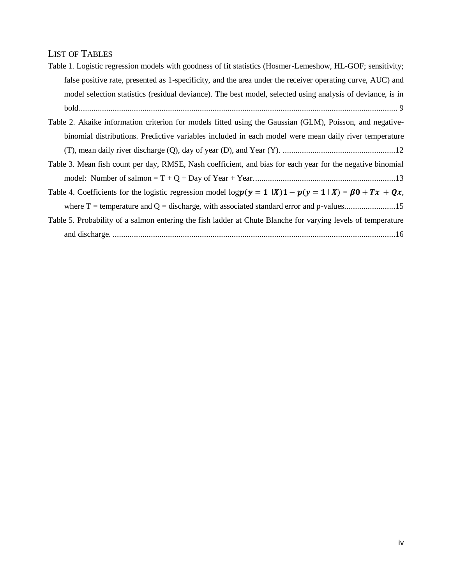## <span id="page-4-0"></span>LIST OF TABLES

| Table 1. Logistic regression models with goodness of fit statistics (Hosmer-Lemeshow, HL-GOF; sensitivity; |  |
|------------------------------------------------------------------------------------------------------------|--|
| false positive rate, presented as 1-specificity, and the area under the receiver operating curve, AUC) and |  |
| model selection statistics (residual deviance). The best model, selected using analysis of deviance, is in |  |
|                                                                                                            |  |

| Table 2. Akaike information criterion for models fitted using the Gaussian (GLM), Poisson, and negative- |
|----------------------------------------------------------------------------------------------------------|
| binomial distributions. Predictive variables included in each model were mean daily river temperature    |
|                                                                                                          |

[Table 3. Mean fish count per day, RMSE, Nash coefficient, and bias for each year for the negative binomial](#page-17-0)  [model: Number of salmon = T + Q + Day of Year + Year...................................................................13](#page-17-0)

[Table 4. Coefficients for the logistic regression model log](#page-18-1)  $p(y = 1 | X)1 - p(y = 1 | X) = \beta 0 + Tx + Qx$ , [where T = temperature and Q = discharge, with associated standard error and p-values........................15](#page-18-1)

# [Table 5. Probability of a salmon entering the fish ladder at Chute Blanche for varying levels of temperature](#page-19-0)  and discharge. [.....................................................................................................................................16](#page-19-0)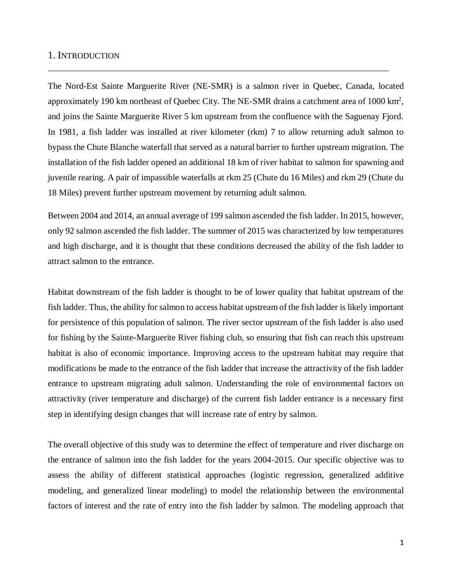#### <span id="page-5-0"></span>1. INTRODUCTION

The Nord-Est Sainte Marguerite River (NE-SMR) is a salmon river in Quebec, Canada, located approximately 190 km northeast of Quebec City. The NE-SMR drains a catchment area of  $1000 \text{ km}^2$ , and joins the Sainte Marguerite River 5 km upstream from the confluence with the Saguenay Fjord. In 1981, a fish ladder was installed at river kilometer (rkm) 7 to allow returning adult salmon to bypass the Chute Blanche waterfall that served as a natural barrier to further upstream migration. The installation of the fish ladder opened an additional 18 km of river habitat to salmon for spawning and juvenile rearing. A pair of impassible waterfalls at rkm 25 (Chute du 16 Miles) and rkm 29 (Chute du 18 Miles) prevent further upstream movement by returning adult salmon.

\_\_\_\_\_\_\_\_\_\_\_\_\_\_\_\_\_\_\_\_\_\_\_\_\_\_\_\_\_\_\_\_\_\_\_\_\_\_\_\_\_\_\_\_\_\_\_\_\_\_\_\_\_\_\_\_\_\_\_\_\_\_\_\_\_\_\_\_\_\_\_\_\_\_\_\_\_\_\_\_\_\_\_\_

Between 2004 and 2014, an annual average of 199 salmon ascended the fish ladder. In 2015, however, only 92 salmon ascended the fish ladder. The summer of 2015 was characterized by low temperatures and high discharge, and it is thought that these conditions decreased the ability of the fish ladder to attract salmon to the entrance.

Habitat downstream of the fish ladder is thought to be of lower quality that habitat upstream of the fish ladder. Thus, the ability for salmon to access habitat upstream of the fish ladder is likely important for persistence of this population of salmon. The river sector upstream of the fish ladder is also used for fishing by the Sainte-Marguerite River fishing club, so ensuring that fish can reach this upstream habitat is also of economic importance. Improving access to the upstream habitat may require that modifications be made to the entrance of the fish ladder that increase the attractivity of the fish ladder entrance to upstream migrating adult salmon. Understanding the role of environmental factors on attractivity (river temperature and discharge) of the current fish ladder entrance is a necessary first step in identifying design changes that will increase rate of entry by salmon.

The overall objective of this study was to determine the effect of temperature and river discharge on the entrance of salmon into the fish ladder for the years 2004-2015. Our specific objective was to assess the ability of different statistical approaches (logistic regression, generalized additive modeling, and generalized linear modeling) to model the relationship between the environmental factors of interest and the rate of entry into the fish ladder by salmon. The modeling approach that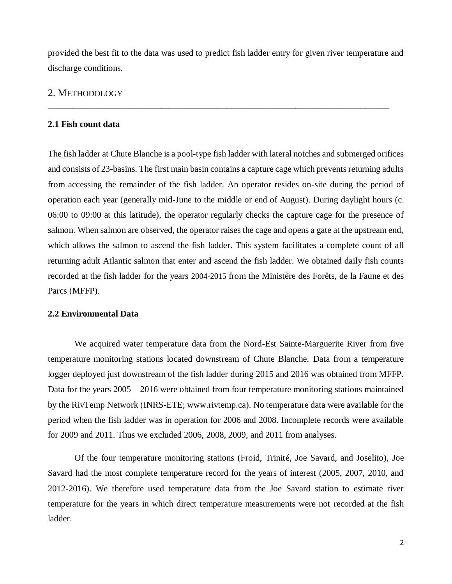provided the best fit to the data was used to predict fish ladder entry for given river temperature and discharge conditions.

\_\_\_\_\_\_\_\_\_\_\_\_\_\_\_\_\_\_\_\_\_\_\_\_\_\_\_\_\_\_\_\_\_\_\_\_\_\_\_\_\_\_\_\_\_\_\_\_\_\_\_\_\_\_\_\_\_\_\_\_\_\_\_\_\_\_\_\_\_\_\_\_\_\_\_\_\_\_\_\_\_\_\_\_

### <span id="page-6-0"></span>2. METHODOLOGY

#### <span id="page-6-1"></span>**2.1 Fish count data**

The fish ladder at Chute Blanche is a pool-type fish ladder with lateral notches and submerged orifices and consists of 23-basins. The first main basin contains a capture cage which prevents returning adults from accessing the remainder of the fish ladder. An operator resides on-site during the period of operation each year (generally mid-June to the middle or end of August). During daylight hours (c. 06:00 to 09:00 at this latitude), the operator regularly checks the capture cage for the presence of salmon. When salmon are observed, the operator raises the cage and opens a gate at the upstream end, which allows the salmon to ascend the fish ladder. This system facilitates a complete count of all returning adult Atlantic salmon that enter and ascend the fish ladder. We obtained daily fish counts recorded at the fish ladder for the years 2004-2015 from the Ministère des Forêts, de la Faune et des Parcs (MFFP).

#### <span id="page-6-2"></span>**2.2 Environmental Data**

We acquired water temperature data from the Nord-Est Sainte-Marguerite River from five temperature monitoring stations located downstream of Chute Blanche. Data from a temperature logger deployed just downstream of the fish ladder during 2015 and 2016 was obtained from MFFP. Data for the years 2005 – 2016 were obtained from four temperature monitoring stations maintained by the RivTemp Network (INRS-ETE; www.rivtemp.ca). No temperature data were available for the period when the fish ladder was in operation for 2006 and 2008. Incomplete records were available for 2009 and 2011. Thus we excluded 2006, 2008, 2009, and 2011 from analyses.

Of the four temperature monitoring stations (Froid, Trinité, Joe Savard, and Joselito), Joe Savard had the most complete temperature record for the years of interest (2005, 2007, 2010, and 2012-2016). We therefore used temperature data from the Joe Savard station to estimate river temperature for the years in which direct temperature measurements were not recorded at the fish ladder.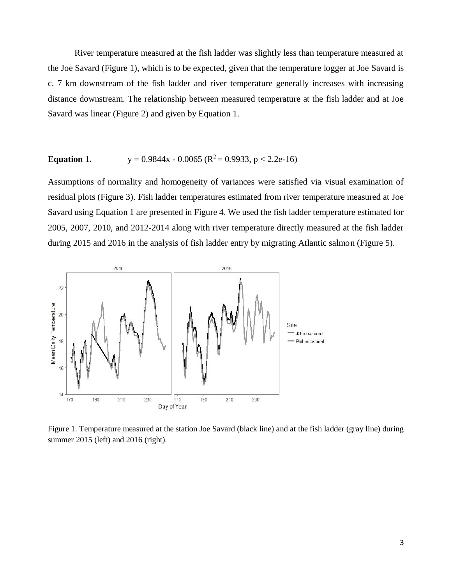River temperature measured at the fish ladder was slightly less than temperature measured at the Joe Savard (Figure 1), which is to be expected, given that the temperature logger at Joe Savard is c. 7 km downstream of the fish ladder and river temperature generally increases with increasing distance downstream. The relationship between measured temperature at the fish ladder and at Joe Savard was linear (Figure 2) and given by Equation 1.

## **Equation 1.**  $y = 0.9844x - 0.0065$  ( $R^2 = 0.9933$ ,  $p < 2.2e-16$ )

Assumptions of normality and homogeneity of variances were satisfied via visual examination of residual plots (Figure 3). Fish ladder temperatures estimated from river temperature measured at Joe Savard using Equation 1 are presented in Figure 4. We used the fish ladder temperature estimated for 2005, 2007, 2010, and 2012-2014 along with river temperature directly measured at the fish ladder during 2015 and 2016 in the analysis of fish ladder entry by migrating Atlantic salmon (Figure 5).



<span id="page-7-0"></span>Figure 1. Temperature measured at the station Joe Savard (black line) and at the fish ladder (gray line) during summer 2015 (left) and 2016 (right).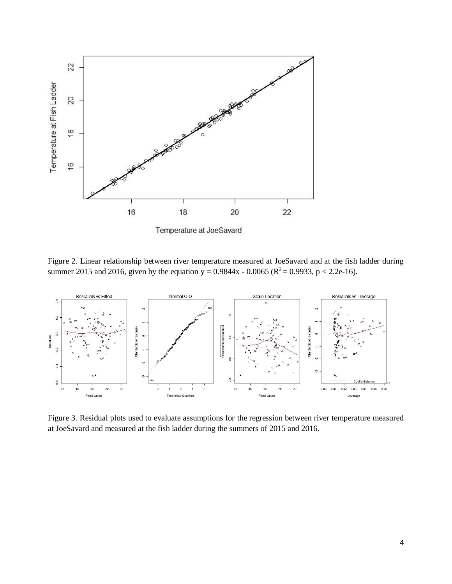

<span id="page-8-0"></span>Figure 2. Linear relationship between river temperature measured at JoeSavard and at the fish ladder during summer 2015 and 2016, given by the equation  $y = 0.9844x - 0.0065$  ( $R^2 = 0.9933$ ,  $p < 2.2e-16$ ).



<span id="page-8-1"></span>Figure 3. Residual plots used to evaluate assumptions for the regression between river temperature measured at JoeSavard and measured at the fish ladder during the summers of 2015 and 2016.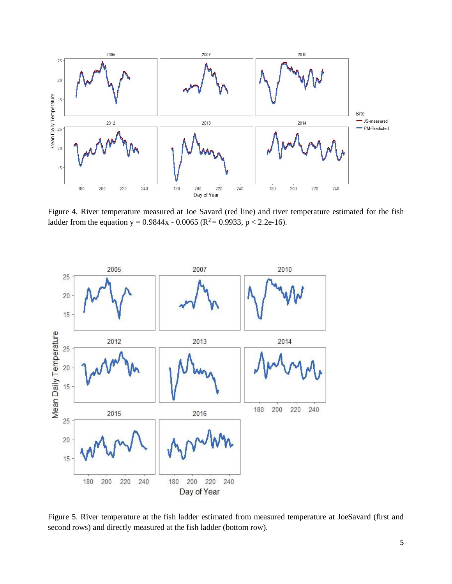

<span id="page-9-0"></span>Figure 4. River temperature measured at Joe Savard (red line) and river temperature estimated for the fish ladder from the equation y =  $0.9844x - 0.0065$  ( $R^2 = 0.9933$ , p < 2.2e-16).



<span id="page-9-1"></span>Figure 5. River temperature at the fish ladder estimated from measured temperature at JoeSavard (first and second rows) and directly measured at the fish ladder (bottom row).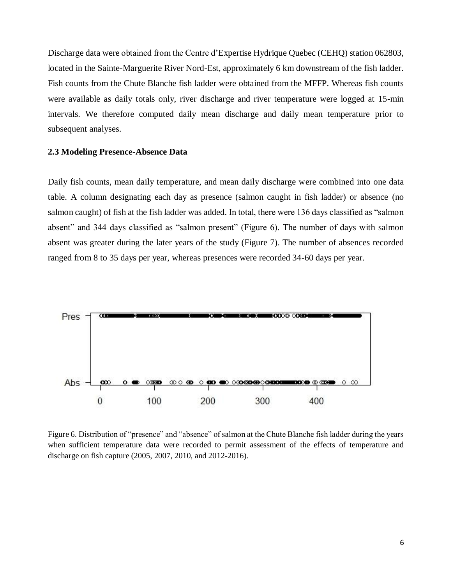Discharge data were obtained from the Centre d'Expertise Hydrique Quebec (CEHQ) station 062803, located in the Sainte-Marguerite River Nord-Est, approximately 6 km downstream of the fish ladder. Fish counts from the Chute Blanche fish ladder were obtained from the MFFP. Whereas fish counts were available as daily totals only, river discharge and river temperature were logged at 15-min intervals. We therefore computed daily mean discharge and daily mean temperature prior to subsequent analyses.

#### <span id="page-10-0"></span>**2.3 Modeling Presence-Absence Data**

Daily fish counts, mean daily temperature, and mean daily discharge were combined into one data table. A column designating each day as presence (salmon caught in fish ladder) or absence (no salmon caught) of fish at the fish ladder was added. In total, there were 136 days classified as "salmon absent" and 344 days classified as "salmon present" (Figure 6). The number of days with salmon absent was greater during the later years of the study (Figure 7). The number of absences recorded ranged from 8 to 35 days per year, whereas presences were recorded 34-60 days per year.



<span id="page-10-1"></span>Figure 6. Distribution of "presence" and "absence" of salmon at the Chute Blanche fish ladder during the years when sufficient temperature data were recorded to permit assessment of the effects of temperature and discharge on fish capture (2005, 2007, 2010, and 2012-2016).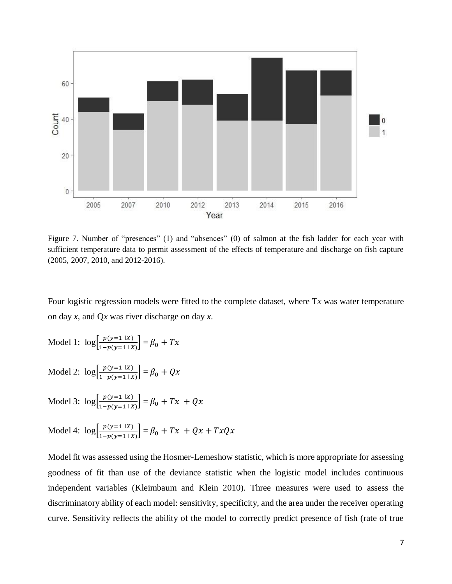

<span id="page-11-0"></span>Figure 7. Number of "presences" (1) and "absences" (0) of salmon at the fish ladder for each year with sufficient temperature data to permit assessment of the effects of temperature and discharge on fish capture (2005, 2007, 2010, and 2012-2016).

Four logistic regression models were fitted to the complete dataset, where T*x* was water temperature on day *x*, and Q*x* was river discharge on day *x*.

Model 1:  $\log \frac{p(y=1 | X)}{1 - p(y=1 | X)}$  $\left[\frac{p(y-1)x}{1-p(y=1+x)}\right] = \beta_0 + Tx$ Model 2:  $\log \frac{p(y=1 | X)}{1 - p(y=1 | X)}$  $\left[\frac{p(y-1)x}{1-p(y=1|X)}\right] = \beta_0 + Qx$ Model 3:  $\log \frac{p(y=1 | X)}{1 - p(y=1 | X)}$  $\left[\frac{p(y-1)X}{1-p(y=1|X)}\right] = \beta_0 + Tx + Qx$ Model 4:  $\log \left[ \frac{p(y=1 | X)}{1 - p(y=1 | X)} \right]$  $\left[\frac{p(y-1)x}{1-p(y=1+x)}\right] = \beta_0 + Tx + Qx + TxQx$ 

Model fit was assessed using the Hosmer-Lemeshow statistic, which is more appropriate for assessing goodness of fit than use of the deviance statistic when the logistic model includes continuous independent variables (Kleimbaum and Klein 2010). Three measures were used to assess the discriminatory ability of each model: sensitivity, specificity, and the area under the receiver operating curve. Sensitivity reflects the ability of the model to correctly predict presence of fish (rate of true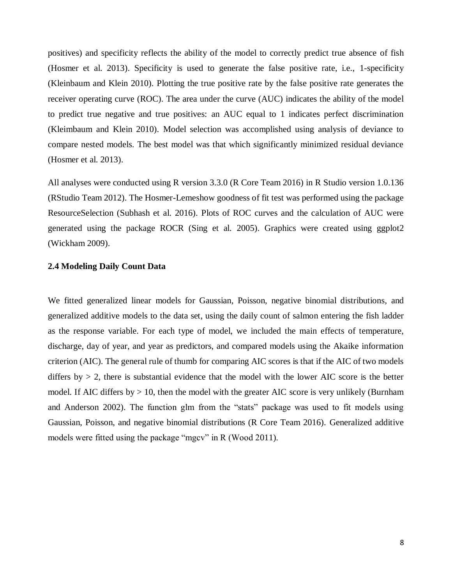positives) and specificity reflects the ability of the model to correctly predict true absence of fish (Hosmer et al. 2013). Specificity is used to generate the false positive rate, i.e., 1-specificity (Kleinbaum and Klein 2010). Plotting the true positive rate by the false positive rate generates the receiver operating curve (ROC). The area under the curve (AUC) indicates the ability of the model to predict true negative and true positives: an AUC equal to 1 indicates perfect discrimination (Kleimbaum and Klein 2010). Model selection was accomplished using analysis of deviance to compare nested models. The best model was that which significantly minimized residual deviance (Hosmer et al. 2013).

All analyses were conducted using R version 3.3.0 (R Core Team 2016) in R Studio version 1.0.136 (RStudio Team 2012). The Hosmer-Lemeshow goodness of fit test was performed using the package ResourceSelection (Subhash et al. 2016). Plots of ROC curves and the calculation of AUC were generated using the package ROCR (Sing et al. 2005). Graphics were created using ggplot2 (Wickham 2009).

#### <span id="page-12-0"></span>**2.4 Modeling Daily Count Data**

We fitted generalized linear models for Gaussian, Poisson, negative binomial distributions, and generalized additive models to the data set, using the daily count of salmon entering the fish ladder as the response variable. For each type of model, we included the main effects of temperature, discharge, day of year, and year as predictors, and compared models using the Akaike information criterion (AIC). The general rule of thumb for comparing AIC scores is that if the AIC of two models differs by  $> 2$ , there is substantial evidence that the model with the lower AIC score is the better model. If AIC differs by  $> 10$ , then the model with the greater AIC score is very unlikely (Burnham and Anderson 2002). The function glm from the "stats" package was used to fit models using Gaussian, Poisson, and negative binomial distributions (R Core Team 2016). Generalized additive models were fitted using the package "mgcv" in R (Wood 2011).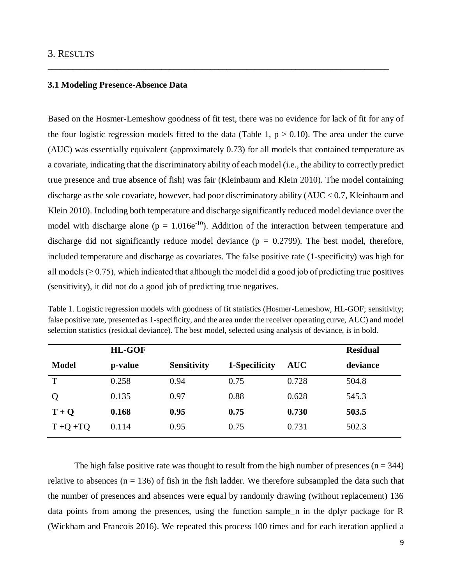#### <span id="page-13-0"></span>3. RESULTS

#### <span id="page-13-1"></span>**3.1 Modeling Presence-Absence Data**

Based on the Hosmer-Lemeshow goodness of fit test, there was no evidence for lack of fit for any of the four logistic regression models fitted to the data (Table 1,  $p > 0.10$ ). The area under the curve (AUC) was essentially equivalent (approximately 0.73) for all models that contained temperature as a covariate, indicating that the discriminatory ability of each model (i.e., the ability to correctly predict true presence and true absence of fish) was fair (Kleinbaum and Klein 2010). The model containing discharge as the sole covariate, however, had poor discriminatory ability  $(AUC < 0.7,$  Kleinbaum and Klein 2010). Including both temperature and discharge significantly reduced model deviance over the model with discharge alone ( $p = 1.016e^{-10}$ ). Addition of the interaction between temperature and discharge did not significantly reduce model deviance ( $p = 0.2799$ ). The best model, therefore, included temperature and discharge as covariates. The false positive rate (1-specificity) was high for all models ( $\geq$  0.75), which indicated that although the model did a good job of predicting true positives (sensitivity), it did not do a good job of predicting true negatives.

\_\_\_\_\_\_\_\_\_\_\_\_\_\_\_\_\_\_\_\_\_\_\_\_\_\_\_\_\_\_\_\_\_\_\_\_\_\_\_\_\_\_\_\_\_\_\_\_\_\_\_\_\_\_\_\_\_\_\_\_\_\_\_\_\_\_\_\_\_\_\_\_\_\_\_\_\_\_\_\_\_\_\_\_

|              | <b>HL-GOF</b> |                    |               |            | <b>Residual</b> |
|--------------|---------------|--------------------|---------------|------------|-----------------|
| <b>Model</b> | p-value       | <b>Sensitivity</b> | 1-Specificity | <b>AUC</b> | deviance        |
| T            | 0.258         | 0.94               | 0.75          | 0.728      | 504.8           |
| Q            | 0.135         | 0.97               | 0.88          | 0.628      | 545.3           |
| $T + Q$      | 0.168         | 0.95               | 0.75          | 0.730      | 503.5           |
| $T + Q + TQ$ | 0.114         | 0.95               | 0.75          | 0.731      | 502.3           |

<span id="page-13-2"></span>Table 1. Logistic regression models with goodness of fit statistics (Hosmer-Lemeshow, HL-GOF; sensitivity; false positive rate, presented as 1-specificity, and the area under the receiver operating curve, AUC) and model selection statistics (residual deviance). The best model, selected using analysis of deviance, is in bold.

The high false positive rate was thought to result from the high number of presences ( $n = 344$ ) relative to absences ( $n = 136$ ) of fish in the fish ladder. We therefore subsampled the data such that the number of presences and absences were equal by randomly drawing (without replacement) 136 data points from among the presences, using the function sample\_n in the dplyr package for R (Wickham and Francois 2016). We repeated this process 100 times and for each iteration applied a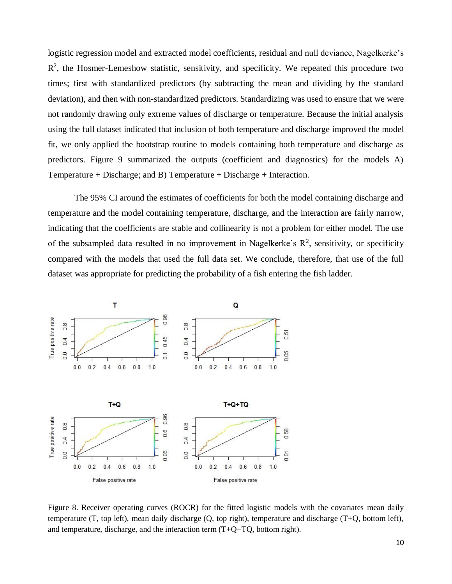logistic regression model and extracted model coefficients, residual and null deviance, Nagelkerke's  $R<sup>2</sup>$ , the Hosmer-Lemeshow statistic, sensitivity, and specificity. We repeated this procedure two times; first with standardized predictors (by subtracting the mean and dividing by the standard deviation), and then with non-standardized predictors. Standardizing was used to ensure that we were not randomly drawing only extreme values of discharge or temperature. Because the initial analysis using the full dataset indicated that inclusion of both temperature and discharge improved the model fit, we only applied the bootstrap routine to models containing both temperature and discharge as predictors. Figure 9 summarized the outputs (coefficient and diagnostics) for the models A) Temperature + Discharge; and B) Temperature + Discharge + Interaction.

The 95% CI around the estimates of coefficients for both the model containing discharge and temperature and the model containing temperature, discharge, and the interaction are fairly narrow, indicating that the coefficients are stable and collinearity is not a problem for either model. The use of the subsampled data resulted in no improvement in Nagelkerke's  $R^2$ , sensitivity, or specificity compared with the models that used the full data set. We conclude, therefore, that use of the full dataset was appropriate for predicting the probability of a fish entering the fish ladder.



<span id="page-14-0"></span>Figure 8. Receiver operating curves (ROCR) for the fitted logistic models with the covariates mean daily temperature (T, top left), mean daily discharge (Q, top right), temperature and discharge (T+Q, bottom left), and temperature, discharge, and the interaction term  $(T+Q+TQ)$ , bottom right).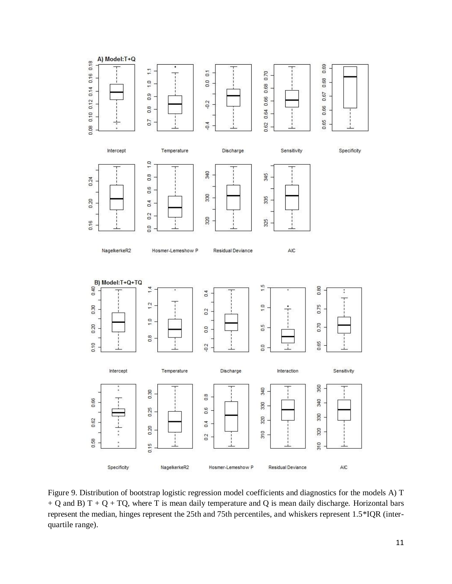

<span id="page-15-0"></span>Figure 9. Distribution of bootstrap logistic regression model coefficients and diagnostics for the models A) T + Q and B) T + Q + TQ, where T is mean daily temperature and Q is mean daily discharge. Horizontal bars represent the median, hinges represent the 25th and 75th percentiles, and whiskers represent 1.5\*IQR (interquartile range).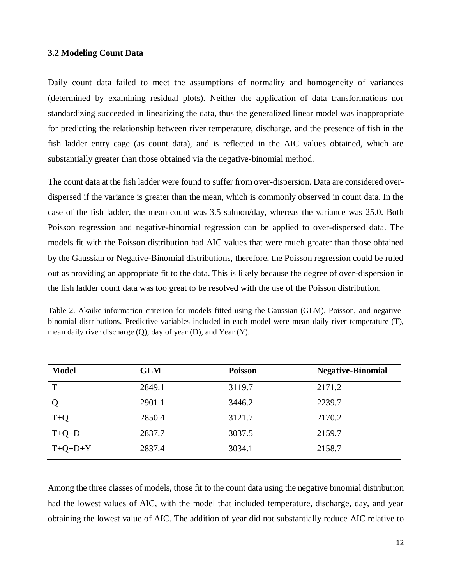#### <span id="page-16-0"></span>**3.2 Modeling Count Data**

Daily count data failed to meet the assumptions of normality and homogeneity of variances (determined by examining residual plots). Neither the application of data transformations nor standardizing succeeded in linearizing the data, thus the generalized linear model was inappropriate for predicting the relationship between river temperature, discharge, and the presence of fish in the fish ladder entry cage (as count data), and is reflected in the AIC values obtained, which are substantially greater than those obtained via the negative-binomial method.

The count data at the fish ladder were found to suffer from over-dispersion. Data are considered overdispersed if the variance is greater than the mean, which is commonly observed in count data. In the case of the fish ladder, the mean count was 3.5 salmon/day, whereas the variance was 25.0. Both Poisson regression and negative-binomial regression can be applied to over-dispersed data. The models fit with the Poisson distribution had AIC values that were much greater than those obtained by the Gaussian or Negative-Binomial distributions, therefore, the Poisson regression could be ruled out as providing an appropriate fit to the data. This is likely because the degree of over-dispersion in the fish ladder count data was too great to be resolved with the use of the Poisson distribution.

<span id="page-16-1"></span>Table 2. Akaike information criterion for models fitted using the Gaussian (GLM), Poisson, and negativebinomial distributions. Predictive variables included in each model were mean daily river temperature (T), mean daily river discharge (Q), day of year (D), and Year (Y).

| <b>Model</b> | <b>GLM</b> | <b>Poisson</b> | <b>Negative-Binomial</b> |
|--------------|------------|----------------|--------------------------|
| T            | 2849.1     | 3119.7         | 2171.2                   |
| Q            | 2901.1     | 3446.2         | 2239.7                   |
| $T+Q$        | 2850.4     | 3121.7         | 2170.2                   |
| $T+Q+D$      | 2837.7     | 3037.5         | 2159.7                   |
| $T+Q+D+Y$    | 2837.4     | 3034.1         | 2158.7                   |

Among the three classes of models, those fit to the count data using the negative binomial distribution had the lowest values of AIC, with the model that included temperature, discharge, day, and year obtaining the lowest value of AIC. The addition of year did not substantially reduce AIC relative to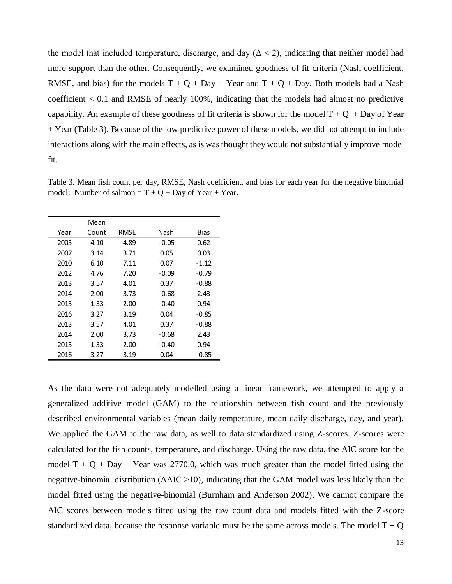the model that included temperature, discharge, and day ( $\Delta < 2$ ), indicating that neither model had more support than the other. Consequently, we examined goodness of fit criteria (Nash coefficient, RMSE, and bias) for the models  $T + Q + Day + Year$  and  $T + Q + Day$ . Both models had a Nash coefficient  $< 0.1$  and RMSE of nearly 100%, indicating that the models had almost no predictive capability. An example of these goodness of fit criteria is shown for the model  $T + Q + Day$  of Year + Year (Table 3). Because of the low predictive power of these models, we did not attempt to include interactions along with the main effects, as is was thought they would not substantially improve model fit.

|      | Mean  |      |       |         |
|------|-------|------|-------|---------|
| Year | Count | RMSE | Nash  | Bias    |
| 2005 | 4.10  | 4.89 | -0.05 | 0.62    |
| 2007 | 3.14  | 3.71 | 0.05  | 0.03    |
| 2010 | 6.10  | 7.11 | 0.07  | $-1.12$ |
| 2012 | 4.76  | 7.20 | -0.09 | $-0.79$ |
| 2013 | 3.57  | 4.01 | 0.37  | $-0.88$ |
| 2014 | 2.00  | 3.73 | -0.68 | 2.43    |
| 2015 | 1.33  | 2.00 | -0.40 | 0.94    |
| 2016 | 3.27  | 3.19 | 0.04  | $-0.85$ |
| 2013 | 3.57  | 4.01 | 0.37  | $-0.88$ |
| 2014 | 2.00  | 3.73 | -0.68 | 2.43    |
| 2015 | 1.33  | 2.00 | -0.40 | 0.94    |
| 2016 | 3.27  | 3.19 | 0.04  | $-0.85$ |

<span id="page-17-0"></span>Table 3. Mean fish count per day, RMSE, Nash coefficient, and bias for each year for the negative binomial model: Number of salmon  $= T + Q + Day$  of Year + Year.

As the data were not adequately modelled using a linear framework, we attempted to apply a generalized additive model (GAM) to the relationship between fish count and the previously described environmental variables (mean daily temperature, mean daily discharge, day, and year). We applied the GAM to the raw data, as well to data standardized using Z-scores. Z-scores were calculated for the fish counts, temperature, and discharge. Using the raw data, the AIC score for the model  $T + Q + Day + Year$  was 2770.0, which was much greater than the model fitted using the negative-binomial distribution ( $\triangle AIC > 10$ ), indicating that the GAM model was less likely than the model fitted using the negative-binomial (Burnham and Anderson 2002). We cannot compare the AIC scores between models fitted using the raw count data and models fitted with the Z-score standardized data, because the response variable must be the same across models. The model  $T + Q$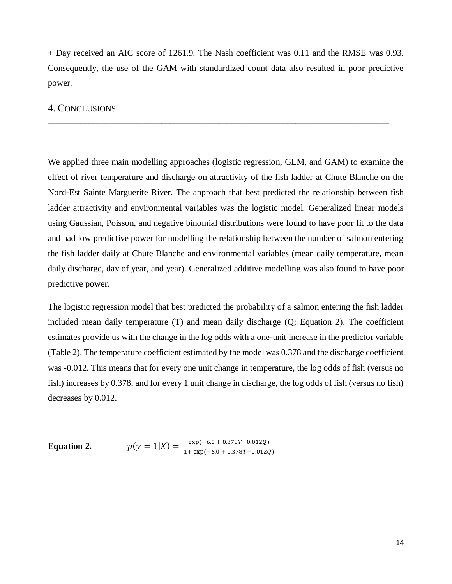+ Day received an AIC score of 1261.9. The Nash coefficient was 0.11 and the RMSE was 0.93. Consequently, the use of the GAM with standardized count data also resulted in poor predictive power.

\_\_\_\_\_\_\_\_\_\_\_\_\_\_\_\_\_\_\_\_\_\_\_\_\_\_\_\_\_\_\_\_\_\_\_\_\_\_\_\_\_\_\_\_\_\_\_\_\_\_\_\_\_\_\_\_\_\_\_\_\_\_\_\_\_\_\_\_\_\_\_\_\_\_\_\_\_\_\_\_\_\_\_\_

#### <span id="page-18-0"></span>4. CONCLUSIONS

We applied three main modelling approaches (logistic regression, GLM, and GAM) to examine the effect of river temperature and discharge on attractivity of the fish ladder at Chute Blanche on the Nord-Est Sainte Marguerite River. The approach that best predicted the relationship between fish ladder attractivity and environmental variables was the logistic model. Generalized linear models using Gaussian, Poisson, and negative binomial distributions were found to have poor fit to the data and had low predictive power for modelling the relationship between the number of salmon entering the fish ladder daily at Chute Blanche and environmental variables (mean daily temperature, mean daily discharge, day of year, and year). Generalized additive modelling was also found to have poor predictive power.

The logistic regression model that best predicted the probability of a salmon entering the fish ladder included mean daily temperature (T) and mean daily discharge (Q; Equation 2). The coefficient estimates provide us with the change in the log odds with a one-unit increase in the predictor variable (Table 2). The temperature coefficient estimated by the model was 0.378 and the discharge coefficient was -0.012. This means that for every one unit change in temperature, the log odds of fish (versus no fish) increases by 0.378, and for every 1 unit change in discharge, the log odds of fish (versus no fish) decreases by 0.012.

<span id="page-18-1"></span>**Equation 2.**  $p(y = 1|X) = \frac{\exp(-6.0 + 0.378T - 0.012Q)}{4 \cdot \exp(-6.0 + 0.378T - 0.012Q)}$  $1+ \exp(-6.0 + 0.378T - 0.012Q)$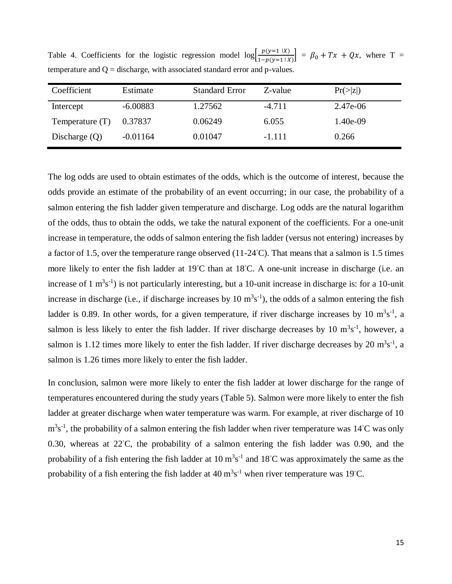Table 4. Coefficients for the logistic regression model  $\log \left[\frac{p(y=1 | X)}{p(y=1 | X)}\right]$  $\left[\frac{p(y-1)x}{1-p(y=1|x)}\right] = \beta_0 + Tx + Qx$ , where T = temperature and  $Q =$  discharge, with associated standard error and p-values.

| Coefficient       | Estimate   | <b>Standard Error</b> | Z-value  | $Pr(\ge  z )$ |
|-------------------|------------|-----------------------|----------|---------------|
| Intercept         | $-6.00883$ | 1.27562               | $-4.711$ | 2.47e-06      |
| Temperature $(T)$ | 0.37837    | 0.06249               | 6.055    | $1.40e-09$    |
| Discharge $(Q)$   | $-0.01164$ | 0.01047               | $-1.111$ | 0.266         |

The log odds are used to obtain estimates of the odds, which is the outcome of interest, because the odds provide an estimate of the probability of an event occurring; in our case, the probability of a salmon entering the fish ladder given temperature and discharge. Log odds are the natural logarithm of the odds, thus to obtain the odds, we take the natural exponent of the coefficients. For a one-unit increase in temperature, the odds of salmon entering the fish ladder (versus not entering) increases by a factor of 1.5, over the temperature range observed (11-24◦C). That means that a salmon is 1.5 times more likely to enter the fish ladder at 19◦C than at 18◦C. A one-unit increase in discharge (i.e. an increase of  $1 \text{ m}^3 \text{s}^{-1}$ ) is not particularly interesting, but a 10-unit increase in discharge is: for a 10-unit increase in discharge (i.e., if discharge increases by 10  $m<sup>3</sup>s<sup>-1</sup>$ ), the odds of a salmon entering the fish ladder is 0.89. In other words, for a given temperature, if river discharge increases by 10  $m<sup>3</sup>s<sup>-1</sup>$ , a salmon is less likely to enter the fish ladder. If river discharge decreases by 10  $m<sup>3</sup>s<sup>-1</sup>$ , however, a salmon is 1.12 times more likely to enter the fish ladder. If river discharge decreases by 20  $m<sup>3</sup>s<sup>-1</sup>$ , a salmon is 1.26 times more likely to enter the fish ladder.

<span id="page-19-0"></span>In conclusion, salmon were more likely to enter the fish ladder at lower discharge for the range of temperatures encountered during the study years (Table 5). Salmon were more likely to enter the fish ladder at greater discharge when water temperature was warm. For example, at river discharge of 10  $m<sup>3</sup>s<sup>-1</sup>$ , the probability of a salmon entering the fish ladder when river temperature was 14℃ was only 0.30, whereas at 22℃, the probability of a salmon entering the fish ladder was 0.90, and the probability of a fish entering the fish ladder at  $10 \text{ m}^3\text{s}^{-1}$  and  $18\text{°C}$  was approximately the same as the probability of a fish entering the fish ladder at  $40 \text{ m}^3\text{s}^{-1}$  when river temperature was 19°C.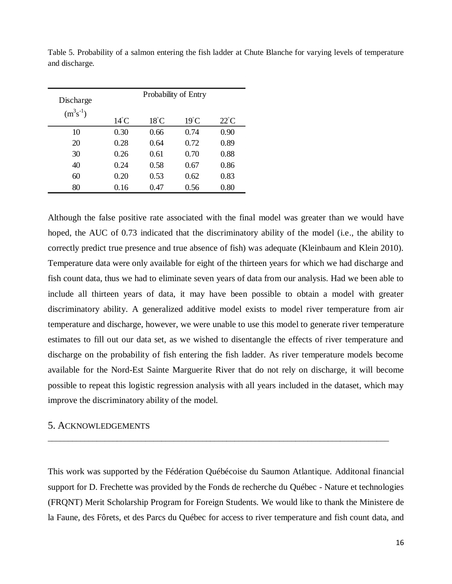| Discharge     | Probability of Entry |                |                |                |  |  |
|---------------|----------------------|----------------|----------------|----------------|--|--|
| $(m^3s^{-1})$ | $14^{\circ}$ C       | $18^{\circ}$ C | $19^{\circ}$ C | $22^{\circ}$ C |  |  |
| 10            | 0.30                 | 0.66           | 0.74           | 0.90           |  |  |
| 20            | 0.28                 | 0.64           | 0.72           | 0.89           |  |  |
| 30            | 0.26                 | 0.61           | 0.70           | 0.88           |  |  |
| 40            | 0.24                 | 0.58           | 0.67           | 0.86           |  |  |
| 60            | 0.20                 | 0.53           | 0.62           | 0.83           |  |  |
| 80            | 0.16                 | 0.47           | 0.56           | 0.80           |  |  |

Table 5. Probability of a salmon entering the fish ladder at Chute Blanche for varying levels of temperature and discharge.

Although the false positive rate associated with the final model was greater than we would have hoped, the AUC of 0.73 indicated that the discriminatory ability of the model (i.e., the ability to correctly predict true presence and true absence of fish) was adequate (Kleinbaum and Klein 2010). Temperature data were only available for eight of the thirteen years for which we had discharge and fish count data, thus we had to eliminate seven years of data from our analysis. Had we been able to include all thirteen years of data, it may have been possible to obtain a model with greater discriminatory ability. A generalized additive model exists to model river temperature from air temperature and discharge, however, we were unable to use this model to generate river temperature estimates to fill out our data set, as we wished to disentangle the effects of river temperature and discharge on the probability of fish entering the fish ladder. As river temperature models become available for the Nord-Est Sainte Marguerite River that do not rely on discharge, it will become possible to repeat this logistic regression analysis with all years included in the dataset, which may improve the discriminatory ability of the model.

#### <span id="page-20-0"></span>5. ACKNOWLEDGEMENTS

This work was supported by the Fédération Québécoise du Saumon Atlantique. Additonal financial support for D. Frechette was provided by the Fonds de recherche du Québec - Nature et technologies (FRQNT) Merit Scholarship Program for Foreign Students. We would like to thank the Ministere de la Faune, des Fôrets, et des Parcs du Québec for access to river temperature and fish count data, and

\_\_\_\_\_\_\_\_\_\_\_\_\_\_\_\_\_\_\_\_\_\_\_\_\_\_\_\_\_\_\_\_\_\_\_\_\_\_\_\_\_\_\_\_\_\_\_\_\_\_\_\_\_\_\_\_\_\_\_\_\_\_\_\_\_\_\_\_\_\_\_\_\_\_\_\_\_\_\_\_\_\_\_\_